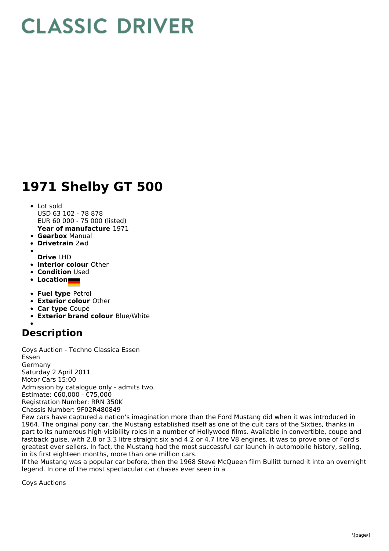## **CLASSIC DRIVER**

## **1971 Shelby GT 500**

- **Year of manufacture** 1971 • Lot sold USD 63 102 - 78 878 EUR 60 000 - 75 000 (listed)
- **Gearbox** Manual
- **Drivetrain** 2wd
- **Drive** LHD
- **Interior colour** Other
- **Condition** Used
- **Location**
- **Fuel type** Petrol
- **Exterior colour** Other
- **Car type** Coupé
- **Exterior brand colour** Blue/White

## **Description**

Coys Auction - Techno Classica Essen Essen Germany Saturday 2 April 2011 Motor Cars 15:00 Admission by catalogue only - admits two. Estimate: €60,000 - €75,000 Registration Number: RRN 350K Chassis Number: 9F02R480849

Few cars have captured a nation's imagination more than the Ford Mustang did when it was introduced in 1964. The original pony car, the Mustang established itself as one of the cult cars of the Sixties, thanks in part to its numerous high-visibility roles in a number of Hollywood films. Available in convertible, coupe and fastback guise, with 2.8 or 3.3 litre straight six and 4.2 or 4.7 litre V8 engines, it was to prove one of Ford's greatest ever sellers. In fact, the Mustang had the most successful car launch in automobile history, selling, in its first eighteen months, more than one million cars.

If the Mustang was a popular car before, then the 1968 Steve McQueen film Bullitt turned it into an overnight legend. In one of the most spectacular car chases ever seen in a

Coys Auctions